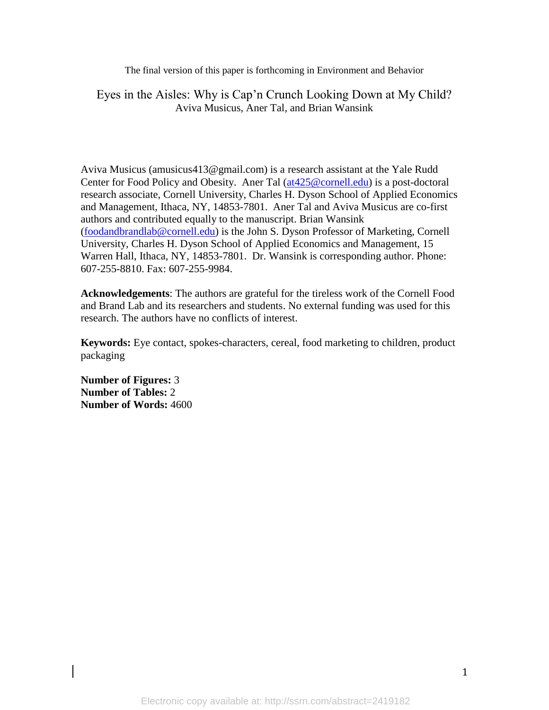The final version of this paper is forthcoming in Environment and Behavior

# Eyes in the Aisles: Why is Cap'n Crunch Looking Down at My Child? Aviva Musicus, Aner Tal, and Brian Wansink

Aviva Musicus (amusicus413@gmail.com) is a research assistant at the Yale Rudd Center for Food Policy and Obesity. Aner Tal (at 425@cornell.edu) is a post-doctoral research associate, Cornell University, Charles H. Dyson School of Applied Economics and Management, Ithaca, NY, 14853-7801. Aner Tal and Aviva Musicus are co-first authors and contributed equally to the manuscript. Brian Wansink [\(foodandbrandlab@cornell.edu\)](mailto:foodandbrandlab@cornell.edu) is the John S. Dyson Professor of Marketing, Cornell University, Charles H. Dyson School of Applied Economics and Management, 15 Warren Hall, Ithaca, NY, 14853-7801. Dr. Wansink is corresponding author. Phone: 607-255-8810. Fax: 607-255-9984.

**Acknowledgements**: The authors are grateful for the tireless work of the Cornell Food and Brand Lab and its researchers and students. No external funding was used for this research. The authors have no conflicts of interest.

**Keywords:** Eye contact, spokes-characters, cereal, food marketing to children, product packaging

**Number of Figures:** 3 **Number of Tables:** 2 **Number of Words:** 4600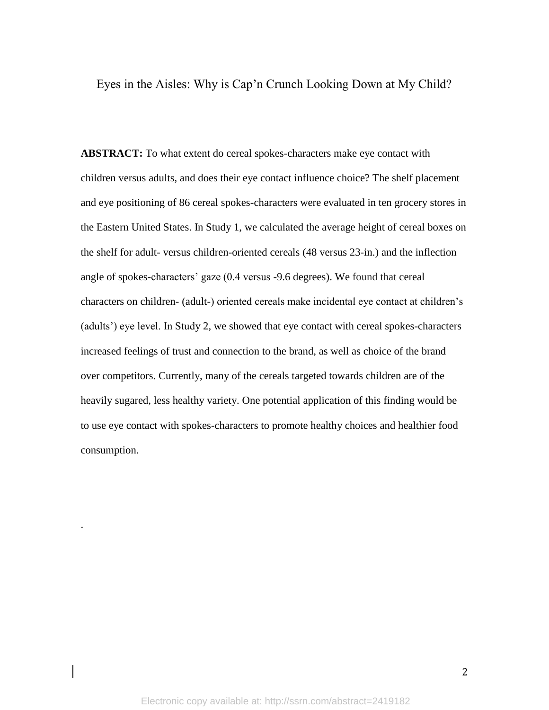Eyes in the Aisles: Why is Cap'n Crunch Looking Down at My Child?

**ABSTRACT:** To what extent do cereal spokes-characters make eye contact with children versus adults, and does their eye contact influence choice? The shelf placement and eye positioning of 86 cereal spokes-characters were evaluated in ten grocery stores in the Eastern United States. In Study 1, we calculated the average height of cereal boxes on the shelf for adult- versus children-oriented cereals (48 versus 23-in.) and the inflection angle of spokes-characters' gaze (0.4 versus -9.6 degrees). We found that cereal characters on children- (adult-) oriented cereals make incidental eye contact at children's (adults') eye level. In Study 2, we showed that eye contact with cereal spokes-characters increased feelings of trust and connection to the brand, as well as choice of the brand over competitors. Currently, many of the cereals targeted towards children are of the heavily sugared, less healthy variety. One potential application of this finding would be to use eye contact with spokes-characters to promote healthy choices and healthier food consumption.

.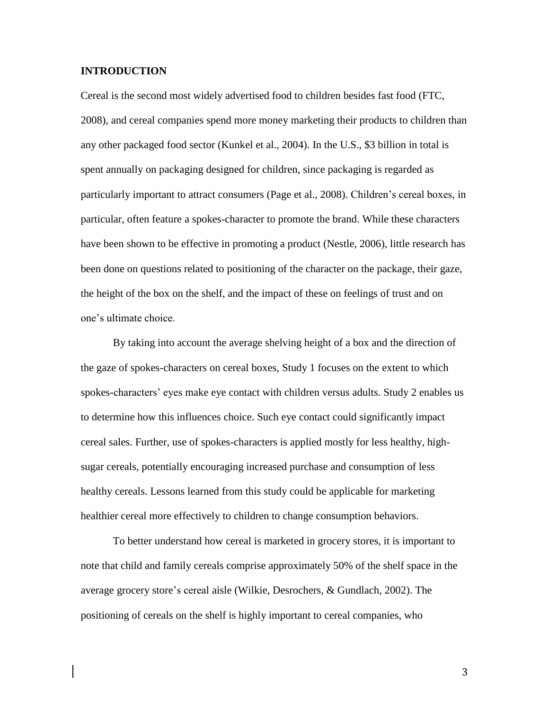## **INTRODUCTION**

Cereal is the second most widely advertised food to children besides fast food (FTC, 2008), and cereal companies spend more money marketing their products to children than any other packaged food sector (Kunkel et al., 2004). In the U.S., \$3 billion in total is spent annually on packaging designed for children, since packaging is regarded as particularly important to attract consumers (Page et al., 2008). Children's cereal boxes, in particular, often feature a spokes-character to promote the brand. While these characters have been shown to be effective in promoting a product (Nestle, 2006), little research has been done on questions related to positioning of the character on the package, their gaze, the height of the box on the shelf, and the impact of these on feelings of trust and on one's ultimate choice.

By taking into account the average shelving height of a box and the direction of the gaze of spokes-characters on cereal boxes, Study 1 focuses on the extent to which spokes-characters' eyes make eye contact with children versus adults. Study 2 enables us to determine how this influences choice. Such eye contact could significantly impact cereal sales. Further, use of spokes-characters is applied mostly for less healthy, highsugar cereals, potentially encouraging increased purchase and consumption of less healthy cereals. Lessons learned from this study could be applicable for marketing healthier cereal more effectively to children to change consumption behaviors.

To better understand how cereal is marketed in grocery stores, it is important to note that child and family cereals comprise approximately 50% of the shelf space in the average grocery store's cereal aisle (Wilkie, Desrochers, & Gundlach, 2002). The positioning of cereals on the shelf is highly important to cereal companies, who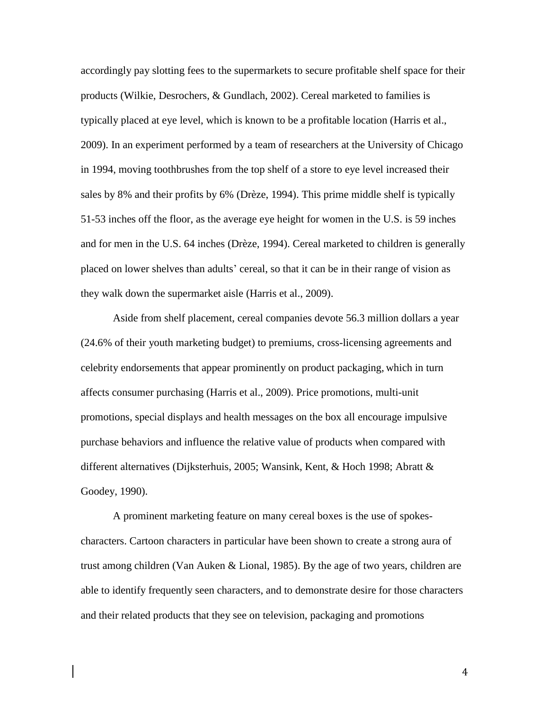accordingly pay slotting fees to the supermarkets to secure profitable shelf space for their products (Wilkie, Desrochers, & Gundlach, 2002). Cereal marketed to families is typically placed at eye level, which is known to be a profitable location (Harris et al., 2009). In an experiment performed by a team of researchers at the University of Chicago in 1994, moving toothbrushes from the top shelf of a store to eye level increased their sales by 8% and their profits by 6% (Drèze, 1994). This prime middle shelf is typically 51-53 inches off the floor, as the average eye height for women in the U.S. is 59 inches and for men in the U.S. 64 inches (Drèze, 1994). Cereal marketed to children is generally placed on lower shelves than adults' cereal, so that it can be in their range of vision as they walk down the supermarket aisle (Harris et al., 2009).

Aside from shelf placement, cereal companies devote 56.3 million dollars a year (24.6% of their youth marketing budget) to premiums, cross-licensing agreements and celebrity endorsements that appear prominently on product packaging, which in turn affects consumer purchasing (Harris et al., 2009). Price promotions, multi-unit promotions, special displays and health messages on the box all encourage impulsive purchase behaviors and influence the relative value of products when compared with different alternatives (Dijksterhuis, 2005; Wansink, Kent, & Hoch 1998; Abratt & Goodey, 1990).

A prominent marketing feature on many cereal boxes is the use of spokescharacters. Cartoon characters in particular have been shown to create a strong aura of trust among children (Van Auken & Lional, 1985). By the age of two years, children are able to identify frequently seen characters, and to demonstrate desire for those characters and their related products that they see on television, packaging and promotions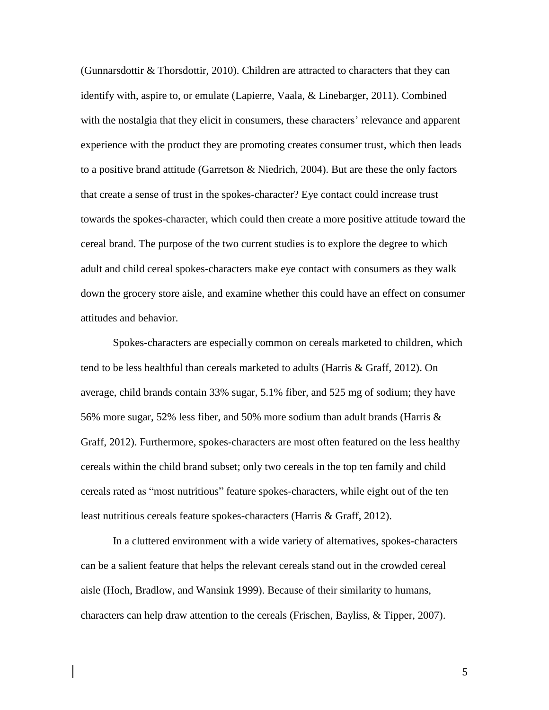(Gunnarsdottir & Thorsdottir, 2010). Children are attracted to characters that they can identify with, aspire to, or emulate (Lapierre, Vaala, & Linebarger, 2011). Combined with the nostalgia that they elicit in consumers, these characters' relevance and apparent experience with the product they are promoting creates consumer trust, which then leads to a positive brand attitude (Garretson  $\&$  Niedrich, 2004). But are these the only factors that create a sense of trust in the spokes-character? Eye contact could increase trust towards the spokes-character, which could then create a more positive attitude toward the cereal brand. The purpose of the two current studies is to explore the degree to which adult and child cereal spokes-characters make eye contact with consumers as they walk down the grocery store aisle, and examine whether this could have an effect on consumer attitudes and behavior.

Spokes-characters are especially common on cereals marketed to children, which tend to be less healthful than cereals marketed to adults (Harris & Graff, 2012). On average, child brands contain 33% sugar, 5.1% fiber, and 525 mg of sodium; they have 56% more sugar, 52% less fiber, and 50% more sodium than adult brands (Harris & Graff, 2012). Furthermore, spokes-characters are most often featured on the less healthy cereals within the child brand subset; only two cereals in the top ten family and child cereals rated as "most nutritious" feature spokes-characters, while eight out of the ten least nutritious cereals feature spokes-characters (Harris & Graff, 2012).

In a cluttered environment with a wide variety of alternatives, spokes-characters can be a salient feature that helps the relevant cereals stand out in the crowded cereal aisle (Hoch, Bradlow, and Wansink 1999). Because of their similarity to humans, characters can help draw attention to the cereals (Frischen, Bayliss, & Tipper, 2007).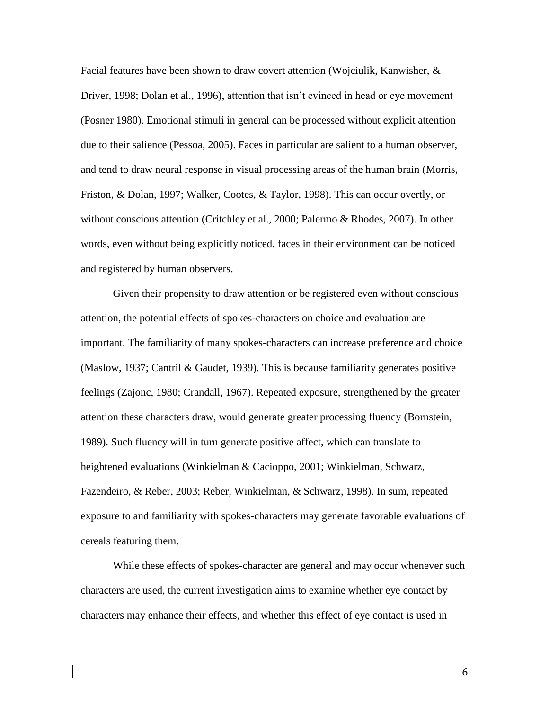Facial features have been shown to draw covert attention (Wojciulik, Kanwisher, & Driver, 1998; Dolan et al., 1996), attention that isn't evinced in head or eye movement (Posner 1980). Emotional stimuli in general can be processed without explicit attention due to their salience (Pessoa, 2005). Faces in particular are salient to a human observer, and tend to draw neural response in visual processing areas of the human brain (Morris, Friston, & Dolan, 1997; Walker, Cootes, & Taylor, 1998). This can occur overtly, or without conscious attention (Critchley et al., 2000; Palermo & Rhodes, 2007). In other words, even without being explicitly noticed, faces in their environment can be noticed and registered by human observers.

Given their propensity to draw attention or be registered even without conscious attention, the potential effects of spokes-characters on choice and evaluation are important. The familiarity of many spokes-characters can increase preference and choice (Maslow, 1937; Cantril & Gaudet, 1939). This is because familiarity generates positive feelings (Zajonc, 1980; Crandall, 1967). Repeated exposure, strengthened by the greater attention these characters draw, would generate greater processing fluency (Bornstein, 1989). Such fluency will in turn generate positive affect, which can translate to heightened evaluations (Winkielman & Cacioppo, 2001; Winkielman, Schwarz, Fazendeiro, & Reber, 2003; Reber, Winkielman, & Schwarz, 1998). In sum, repeated exposure to and familiarity with spokes-characters may generate favorable evaluations of cereals featuring them.

While these effects of spokes-character are general and may occur whenever such characters are used, the current investigation aims to examine whether eye contact by characters may enhance their effects, and whether this effect of eye contact is used in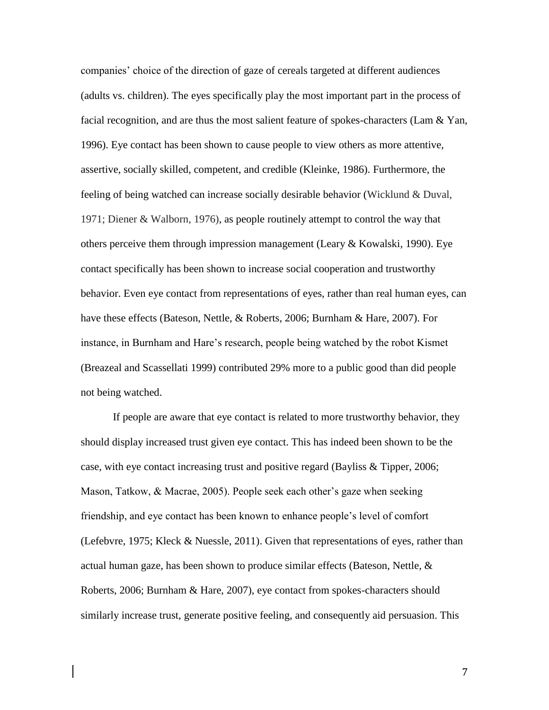companies' choice of the direction of gaze of cereals targeted at different audiences (adults vs. children). The eyes specifically play the most important part in the process of facial recognition, and are thus the most salient feature of spokes-characters (Lam & Yan, 1996). Eye contact has been shown to cause people to view others as more attentive, assertive, socially skilled, competent, and credible (Kleinke, 1986). Furthermore, the feeling of being watched can increase socially desirable behavior (Wicklund & Duval, 1971; Diener & Walborn, 1976), as people routinely attempt to control the way that others perceive them through impression management (Leary  $&$  Kowalski, 1990). Eye contact specifically has been shown to increase social cooperation and trustworthy behavior. Even eye contact from representations of eyes, rather than real human eyes, can have these effects (Bateson, Nettle, & Roberts, 2006; Burnham & Hare, 2007). For instance, in Burnham and Hare's research, people being watched by the robot Kismet (Breazeal and Scassellati 1999) contributed 29% more to a public good than did people not being watched.

If people are aware that eye contact is related to more trustworthy behavior, they should display increased trust given eye contact. This has indeed been shown to be the case, with eye contact increasing trust and positive regard (Bayliss & Tipper, 2006; Mason, Tatkow, & Macrae, 2005). People seek each other's gaze when seeking friendship, and eye contact has been known to enhance people's level of comfort (Lefebvre, 1975; Kleck & Nuessle, 2011). Given that representations of eyes, rather than actual human gaze, has been shown to produce similar effects (Bateson, Nettle, & Roberts, 2006; Burnham & Hare, 2007), eye contact from spokes-characters should similarly increase trust, generate positive feeling, and consequently aid persuasion. This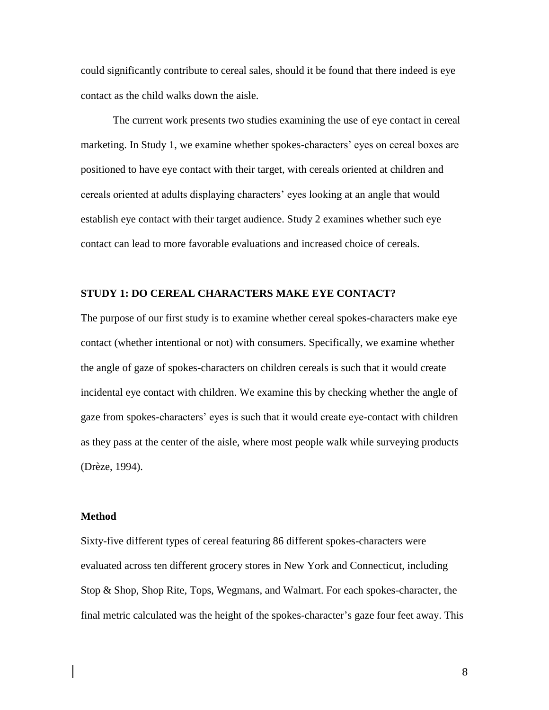could significantly contribute to cereal sales, should it be found that there indeed is eye contact as the child walks down the aisle.

The current work presents two studies examining the use of eye contact in cereal marketing. In Study 1, we examine whether spokes-characters' eyes on cereal boxes are positioned to have eye contact with their target, with cereals oriented at children and cereals oriented at adults displaying characters' eyes looking at an angle that would establish eye contact with their target audience. Study 2 examines whether such eye contact can lead to more favorable evaluations and increased choice of cereals.

## **STUDY 1: DO CEREAL CHARACTERS MAKE EYE CONTACT?**

The purpose of our first study is to examine whether cereal spokes-characters make eye contact (whether intentional or not) with consumers. Specifically, we examine whether the angle of gaze of spokes-characters on children cereals is such that it would create incidental eye contact with children. We examine this by checking whether the angle of gaze from spokes-characters' eyes is such that it would create eye-contact with children as they pass at the center of the aisle, where most people walk while surveying products (Drèze, 1994).

#### **Method**

Sixty-five different types of cereal featuring 86 different spokes-characters were evaluated across ten different grocery stores in New York and Connecticut, including Stop & Shop, Shop Rite, Tops, Wegmans, and Walmart. For each spokes-character, the final metric calculated was the height of the spokes-character's gaze four feet away. This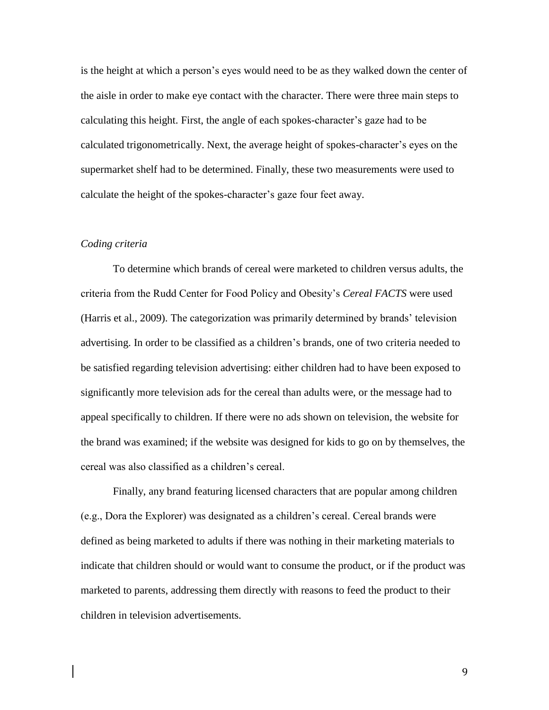is the height at which a person's eyes would need to be as they walked down the center of the aisle in order to make eye contact with the character. There were three main steps to calculating this height. First, the angle of each spokes-character's gaze had to be calculated trigonometrically. Next, the average height of spokes-character's eyes on the supermarket shelf had to be determined. Finally, these two measurements were used to calculate the height of the spokes-character's gaze four feet away.

#### *Coding criteria*

To determine which brands of cereal were marketed to children versus adults, the criteria from the Rudd Center for Food Policy and Obesity's *Cereal FACTS* were used (Harris et al., 2009). The categorization was primarily determined by brands' television advertising. In order to be classified as a children's brands, one of two criteria needed to be satisfied regarding television advertising: either children had to have been exposed to significantly more television ads for the cereal than adults were, or the message had to appeal specifically to children. If there were no ads shown on television, the website for the brand was examined; if the website was designed for kids to go on by themselves, the cereal was also classified as a children's cereal.

Finally, any brand featuring licensed characters that are popular among children (e.g., Dora the Explorer) was designated as a children's cereal. Cereal brands were defined as being marketed to adults if there was nothing in their marketing materials to indicate that children should or would want to consume the product, or if the product was marketed to parents, addressing them directly with reasons to feed the product to their children in television advertisements.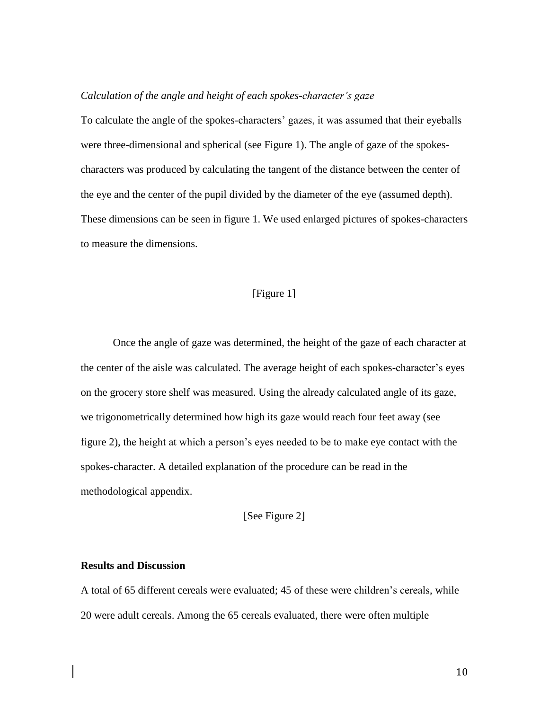#### *Calculation of the angle and height of each spokes-character's gaze*

To calculate the angle of the spokes-characters' gazes, it was assumed that their eyeballs were three-dimensional and spherical (see Figure 1). The angle of gaze of the spokescharacters was produced by calculating the tangent of the distance between the center of the eye and the center of the pupil divided by the diameter of the eye (assumed depth). These dimensions can be seen in figure 1. We used enlarged pictures of spokes-characters to measure the dimensions.

## [Figure 1]

Once the angle of gaze was determined, the height of the gaze of each character at the center of the aisle was calculated. The average height of each spokes-character's eyes on the grocery store shelf was measured. Using the already calculated angle of its gaze, we trigonometrically determined how high its gaze would reach four feet away (see figure 2), the height at which a person's eyes needed to be to make eye contact with the spokes-character. A detailed explanation of the procedure can be read in the methodological appendix.

[See Figure 2]

## **Results and Discussion**

A total of 65 different cereals were evaluated; 45 of these were children's cereals, while 20 were adult cereals. Among the 65 cereals evaluated, there were often multiple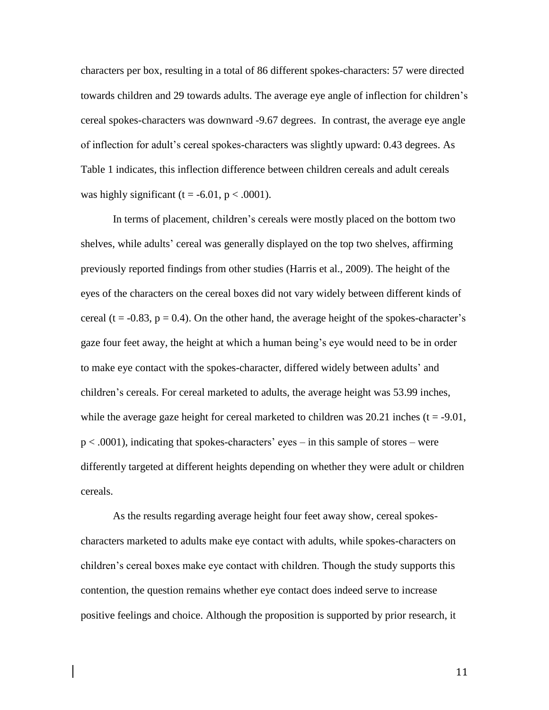characters per box, resulting in a total of 86 different spokes-characters: 57 were directed towards children and 29 towards adults. The average eye angle of inflection for children's cereal spokes-characters was downward -9.67 degrees. In contrast, the average eye angle of inflection for adult's cereal spokes-characters was slightly upward: 0.43 degrees. As Table 1 indicates, this inflection difference between children cereals and adult cereals was highly significant (t = -6.01,  $p < .0001$ ).

In terms of placement, children's cereals were mostly placed on the bottom two shelves, while adults' cereal was generally displayed on the top two shelves, affirming previously reported findings from other studies (Harris et al., 2009). The height of the eyes of the characters on the cereal boxes did not vary widely between different kinds of cereal (t =  $-0.83$ , p = 0.4). On the other hand, the average height of the spokes-character's gaze four feet away, the height at which a human being's eye would need to be in order to make eye contact with the spokes-character, differed widely between adults' and children's cereals. For cereal marketed to adults, the average height was 53.99 inches, while the average gaze height for cereal marketed to children was  $20.21$  inches (t = -9.01, p < .0001), indicating that spokes-characters' eyes – in this sample of stores – were differently targeted at different heights depending on whether they were adult or children cereals.

As the results regarding average height four feet away show, cereal spokescharacters marketed to adults make eye contact with adults, while spokes-characters on children's cereal boxes make eye contact with children. Though the study supports this contention, the question remains whether eye contact does indeed serve to increase positive feelings and choice. Although the proposition is supported by prior research, it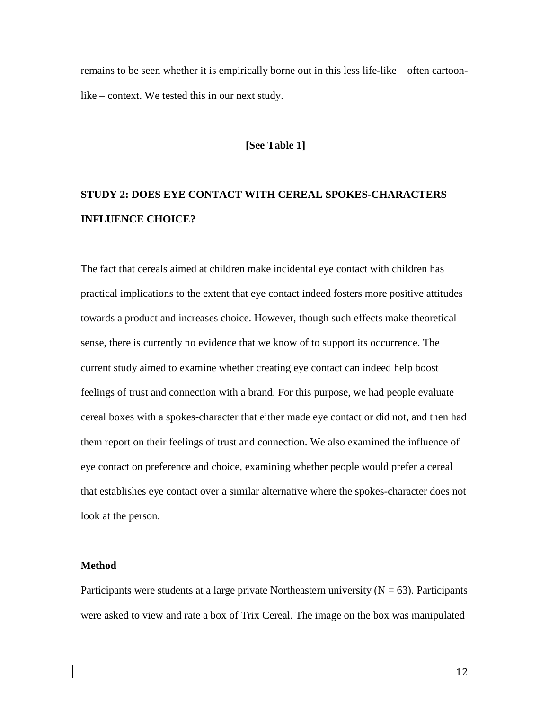remains to be seen whether it is empirically borne out in this less life-like – often cartoonlike – context. We tested this in our next study.

#### **[See Table 1]**

# **STUDY 2: DOES EYE CONTACT WITH CEREAL SPOKES-CHARACTERS INFLUENCE CHOICE?**

The fact that cereals aimed at children make incidental eye contact with children has practical implications to the extent that eye contact indeed fosters more positive attitudes towards a product and increases choice. However, though such effects make theoretical sense, there is currently no evidence that we know of to support its occurrence. The current study aimed to examine whether creating eye contact can indeed help boost feelings of trust and connection with a brand. For this purpose, we had people evaluate cereal boxes with a spokes-character that either made eye contact or did not, and then had them report on their feelings of trust and connection. We also examined the influence of eye contact on preference and choice, examining whether people would prefer a cereal that establishes eye contact over a similar alternative where the spokes-character does not look at the person.

#### **Method**

Participants were students at a large private Northeastern university  $(N = 63)$ . Participants were asked to view and rate a box of Trix Cereal. The image on the box was manipulated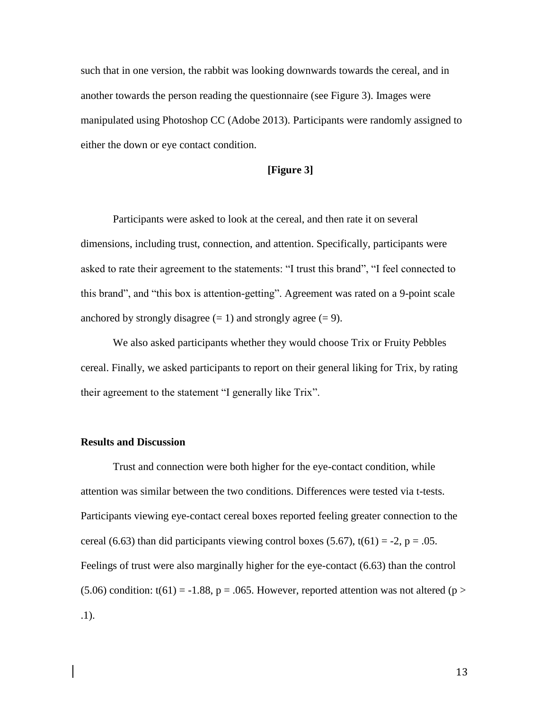such that in one version, the rabbit was looking downwards towards the cereal, and in another towards the person reading the questionnaire (see Figure 3). Images were manipulated using Photoshop CC (Adobe 2013). Participants were randomly assigned to either the down or eye contact condition.

## **[Figure 3]**

Participants were asked to look at the cereal, and then rate it on several dimensions, including trust, connection, and attention. Specifically, participants were asked to rate their agreement to the statements: "I trust this brand", "I feel connected to this brand", and "this box is attention-getting". Agreement was rated on a 9-point scale anchored by strongly disagree  $(= 1)$  and strongly agree  $(= 9)$ .

We also asked participants whether they would choose Trix or Fruity Pebbles cereal. Finally, we asked participants to report on their general liking for Trix, by rating their agreement to the statement "I generally like Trix".

## **Results and Discussion**

Trust and connection were both higher for the eye-contact condition, while attention was similar between the two conditions. Differences were tested via t-tests. Participants viewing eye-contact cereal boxes reported feeling greater connection to the cereal (6.63) than did participants viewing control boxes (5.67),  $t(61) = -2$ ,  $p = .05$ . Feelings of trust were also marginally higher for the eye-contact (6.63) than the control (5.06) condition: t(61) = -1.88, p = .065. However, reported attention was not altered (p > .1).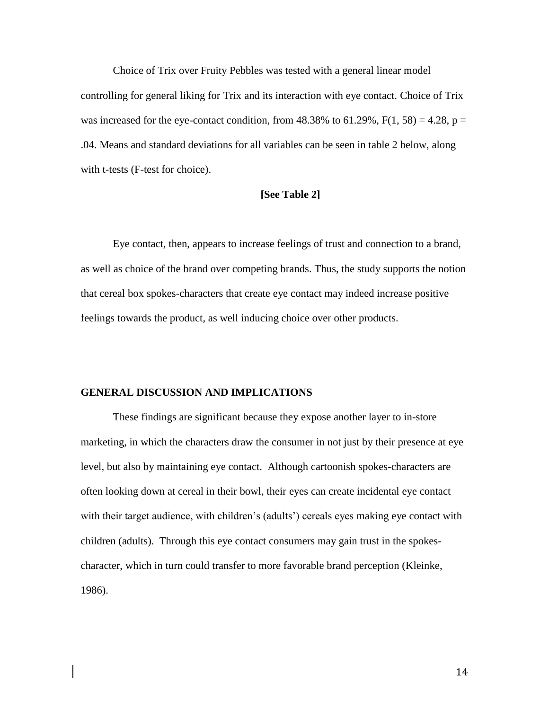Choice of Trix over Fruity Pebbles was tested with a general linear model controlling for general liking for Trix and its interaction with eye contact. Choice of Trix was increased for the eye-contact condition, from  $48.38\%$  to  $61.29\%$ ,  $F(1, 58) = 4.28$ ,  $p =$ .04. Means and standard deviations for all variables can be seen in table 2 below, along with t-tests (F-test for choice).

## **[See Table 2]**

Eye contact, then, appears to increase feelings of trust and connection to a brand, as well as choice of the brand over competing brands. Thus, the study supports the notion that cereal box spokes-characters that create eye contact may indeed increase positive feelings towards the product, as well inducing choice over other products.

### **GENERAL DISCUSSION AND IMPLICATIONS**

These findings are significant because they expose another layer to in-store marketing, in which the characters draw the consumer in not just by their presence at eye level, but also by maintaining eye contact. Although cartoonish spokes-characters are often looking down at cereal in their bowl, their eyes can create incidental eye contact with their target audience, with children's (adults') cereals eyes making eye contact with children (adults). Through this eye contact consumers may gain trust in the spokescharacter, which in turn could transfer to more favorable brand perception (Kleinke, 1986).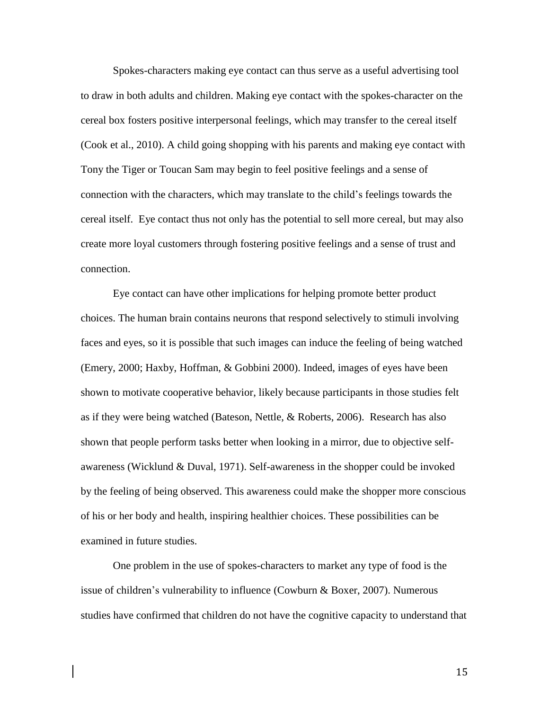Spokes-characters making eye contact can thus serve as a useful advertising tool to draw in both adults and children. Making eye contact with the spokes-character on the cereal box fosters positive interpersonal feelings, which may transfer to the cereal itself (Cook et al., 2010). A child going shopping with his parents and making eye contact with Tony the Tiger or Toucan Sam may begin to feel positive feelings and a sense of connection with the characters, which may translate to the child's feelings towards the cereal itself. Eye contact thus not only has the potential to sell more cereal, but may also create more loyal customers through fostering positive feelings and a sense of trust and connection.

Eye contact can have other implications for helping promote better product choices. The human brain contains neurons that respond selectively to stimuli involving faces and eyes, so it is possible that such images can induce the feeling of being watched (Emery, 2000; Haxby, Hoffman, & Gobbini 2000). Indeed, images of eyes have been shown to motivate cooperative behavior, likely because participants in those studies felt as if they were being watched (Bateson, Nettle, & Roberts, 2006). Research has also shown that people perform tasks better when looking in a mirror, due to objective selfawareness (Wicklund & Duval, 1971). Self-awareness in the shopper could be invoked by the feeling of being observed. This awareness could make the shopper more conscious of his or her body and health, inspiring healthier choices. These possibilities can be examined in future studies.

One problem in the use of spokes-characters to market any type of food is the issue of children's vulnerability to influence (Cowburn & Boxer, 2007). Numerous studies have confirmed that children do not have the cognitive capacity to understand that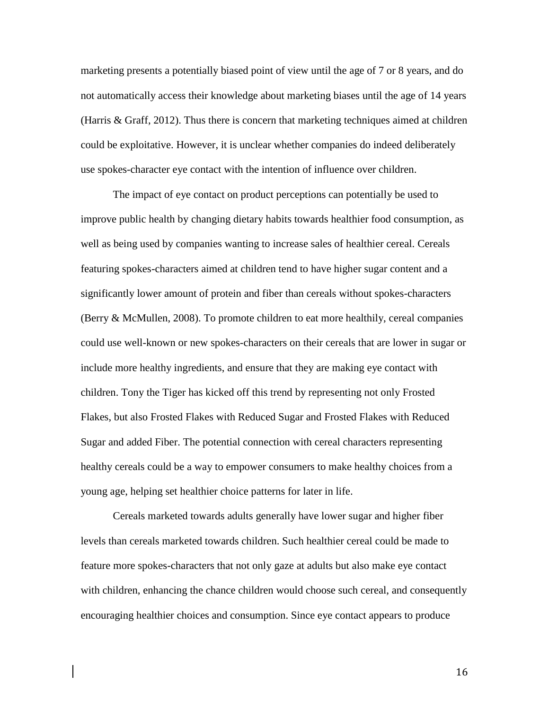marketing presents a potentially biased point of view until the age of 7 or 8 years, and do not automatically access their knowledge about marketing biases until the age of 14 years (Harris  $\&$  Graff, 2012). Thus there is concern that marketing techniques aimed at children could be exploitative. However, it is unclear whether companies do indeed deliberately use spokes-character eye contact with the intention of influence over children.

The impact of eye contact on product perceptions can potentially be used to improve public health by changing dietary habits towards healthier food consumption, as well as being used by companies wanting to increase sales of healthier cereal. Cereals featuring spokes-characters aimed at children tend to have higher sugar content and a significantly lower amount of protein and fiber than cereals without spokes-characters (Berry & McMullen, 2008). To promote children to eat more healthily, cereal companies could use well-known or new spokes-characters on their cereals that are lower in sugar or include more healthy ingredients, and ensure that they are making eye contact with children. Tony the Tiger has kicked off this trend by representing not only Frosted Flakes, but also Frosted Flakes with Reduced Sugar and Frosted Flakes with Reduced Sugar and added Fiber. The potential connection with cereal characters representing healthy cereals could be a way to empower consumers to make healthy choices from a young age, helping set healthier choice patterns for later in life.

Cereals marketed towards adults generally have lower sugar and higher fiber levels than cereals marketed towards children. Such healthier cereal could be made to feature more spokes-characters that not only gaze at adults but also make eye contact with children, enhancing the chance children would choose such cereal, and consequently encouraging healthier choices and consumption. Since eye contact appears to produce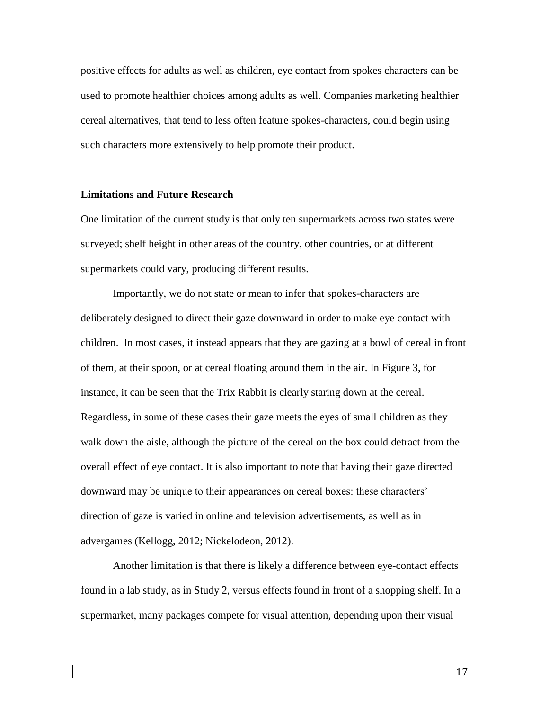positive effects for adults as well as children, eye contact from spokes characters can be used to promote healthier choices among adults as well. Companies marketing healthier cereal alternatives, that tend to less often feature spokes-characters, could begin using such characters more extensively to help promote their product.

#### **Limitations and Future Research**

One limitation of the current study is that only ten supermarkets across two states were surveyed; shelf height in other areas of the country, other countries, or at different supermarkets could vary, producing different results.

Importantly, we do not state or mean to infer that spokes-characters are deliberately designed to direct their gaze downward in order to make eye contact with children. In most cases, it instead appears that they are gazing at a bowl of cereal in front of them, at their spoon, or at cereal floating around them in the air. In Figure 3, for instance, it can be seen that the Trix Rabbit is clearly staring down at the cereal. Regardless, in some of these cases their gaze meets the eyes of small children as they walk down the aisle, although the picture of the cereal on the box could detract from the overall effect of eye contact. It is also important to note that having their gaze directed downward may be unique to their appearances on cereal boxes: these characters' direction of gaze is varied in online and television advertisements, as well as in advergames (Kellogg, 2012; Nickelodeon, 2012).

Another limitation is that there is likely a difference between eye-contact effects found in a lab study, as in Study 2, versus effects found in front of a shopping shelf. In a supermarket, many packages compete for visual attention, depending upon their visual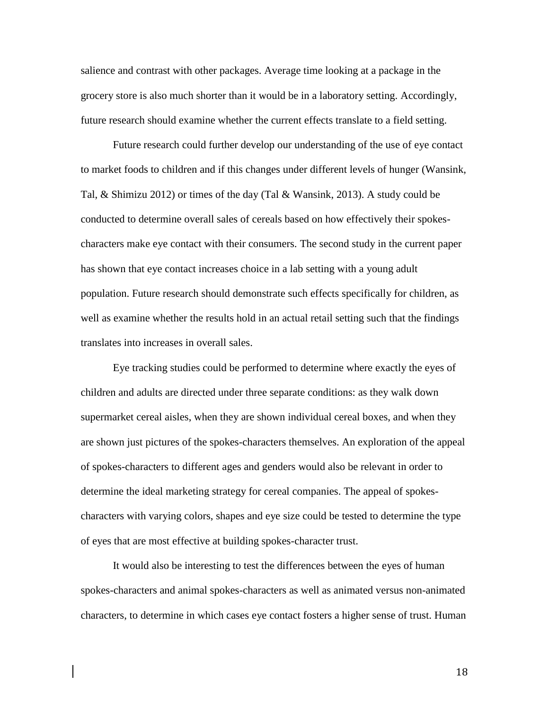salience and contrast with other packages. Average time looking at a package in the grocery store is also much shorter than it would be in a laboratory setting. Accordingly, future research should examine whether the current effects translate to a field setting.

Future research could further develop our understanding of the use of eye contact to market foods to children and if this changes under different levels of hunger (Wansink, Tal, & Shimizu 2012) or times of the day (Tal & Wansink, 2013). A study could be conducted to determine overall sales of cereals based on how effectively their spokescharacters make eye contact with their consumers. The second study in the current paper has shown that eye contact increases choice in a lab setting with a young adult population. Future research should demonstrate such effects specifically for children, as well as examine whether the results hold in an actual retail setting such that the findings translates into increases in overall sales.

Eye tracking studies could be performed to determine where exactly the eyes of children and adults are directed under three separate conditions: as they walk down supermarket cereal aisles, when they are shown individual cereal boxes, and when they are shown just pictures of the spokes-characters themselves. An exploration of the appeal of spokes-characters to different ages and genders would also be relevant in order to determine the ideal marketing strategy for cereal companies. The appeal of spokescharacters with varying colors, shapes and eye size could be tested to determine the type of eyes that are most effective at building spokes-character trust.

It would also be interesting to test the differences between the eyes of human spokes-characters and animal spokes-characters as well as animated versus non-animated characters, to determine in which cases eye contact fosters a higher sense of trust. Human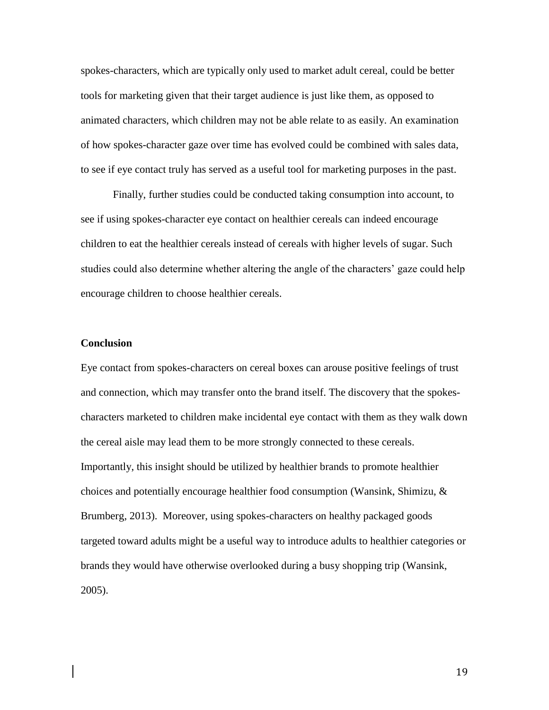spokes-characters, which are typically only used to market adult cereal, could be better tools for marketing given that their target audience is just like them, as opposed to animated characters, which children may not be able relate to as easily. An examination of how spokes-character gaze over time has evolved could be combined with sales data, to see if eye contact truly has served as a useful tool for marketing purposes in the past.

Finally, further studies could be conducted taking consumption into account, to see if using spokes-character eye contact on healthier cereals can indeed encourage children to eat the healthier cereals instead of cereals with higher levels of sugar. Such studies could also determine whether altering the angle of the characters' gaze could help encourage children to choose healthier cereals.

## **Conclusion**

Eye contact from spokes-characters on cereal boxes can arouse positive feelings of trust and connection, which may transfer onto the brand itself. The discovery that the spokescharacters marketed to children make incidental eye contact with them as they walk down the cereal aisle may lead them to be more strongly connected to these cereals. Importantly, this insight should be utilized by healthier brands to promote healthier choices and potentially encourage healthier food consumption (Wansink, Shimizu,  $\&$ Brumberg, 2013). Moreover, using spokes-characters on healthy packaged goods targeted toward adults might be a useful way to introduce adults to healthier categories or brands they would have otherwise overlooked during a busy shopping trip (Wansink, 2005).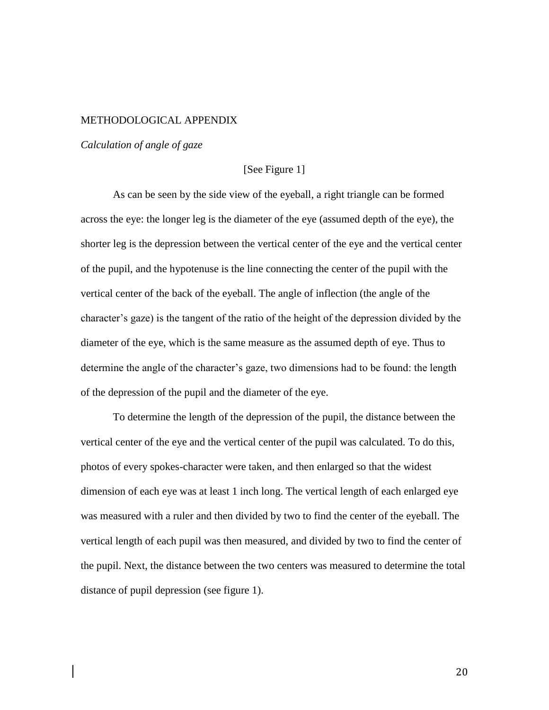## METHODOLOGICAL APPENDIX

*Calculation of angle of gaze*

## [See Figure 1]

As can be seen by the side view of the eyeball, a right triangle can be formed across the eye: the longer leg is the diameter of the eye (assumed depth of the eye), the shorter leg is the depression between the vertical center of the eye and the vertical center of the pupil, and the hypotenuse is the line connecting the center of the pupil with the vertical center of the back of the eyeball. The angle of inflection (the angle of the character's gaze) is the tangent of the ratio of the height of the depression divided by the diameter of the eye, which is the same measure as the assumed depth of eye. Thus to determine the angle of the character's gaze, two dimensions had to be found: the length of the depression of the pupil and the diameter of the eye.

To determine the length of the depression of the pupil, the distance between the vertical center of the eye and the vertical center of the pupil was calculated. To do this, photos of every spokes-character were taken, and then enlarged so that the widest dimension of each eye was at least 1 inch long. The vertical length of each enlarged eye was measured with a ruler and then divided by two to find the center of the eyeball. The vertical length of each pupil was then measured, and divided by two to find the center of the pupil. Next, the distance between the two centers was measured to determine the total distance of pupil depression (see figure 1).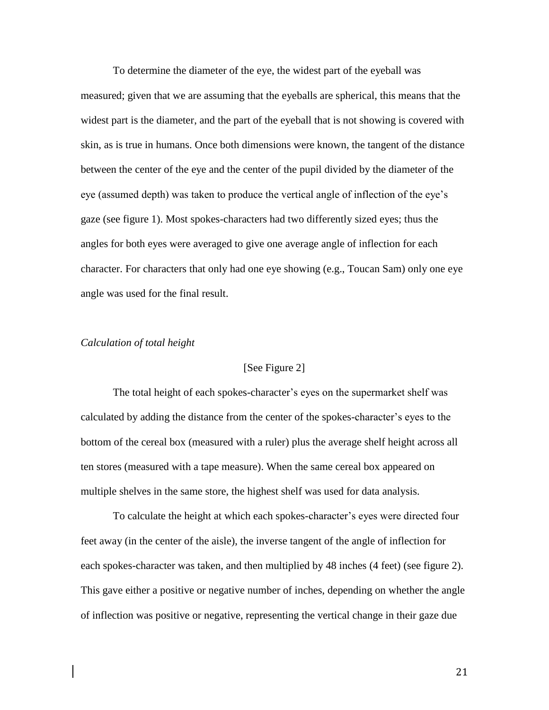To determine the diameter of the eye, the widest part of the eyeball was measured; given that we are assuming that the eyeballs are spherical, this means that the widest part is the diameter, and the part of the eyeball that is not showing is covered with skin, as is true in humans. Once both dimensions were known, the tangent of the distance between the center of the eye and the center of the pupil divided by the diameter of the eye (assumed depth) was taken to produce the vertical angle of inflection of the eye's gaze (see figure 1). Most spokes-characters had two differently sized eyes; thus the angles for both eyes were averaged to give one average angle of inflection for each character. For characters that only had one eye showing (e.g., Toucan Sam) only one eye angle was used for the final result.

## *Calculation of total height*

### [See Figure 2]

The total height of each spokes-character's eyes on the supermarket shelf was calculated by adding the distance from the center of the spokes-character's eyes to the bottom of the cereal box (measured with a ruler) plus the average shelf height across all ten stores (measured with a tape measure). When the same cereal box appeared on multiple shelves in the same store, the highest shelf was used for data analysis.

To calculate the height at which each spokes-character's eyes were directed four feet away (in the center of the aisle), the inverse tangent of the angle of inflection for each spokes-character was taken, and then multiplied by 48 inches (4 feet) (see figure 2). This gave either a positive or negative number of inches, depending on whether the angle of inflection was positive or negative, representing the vertical change in their gaze due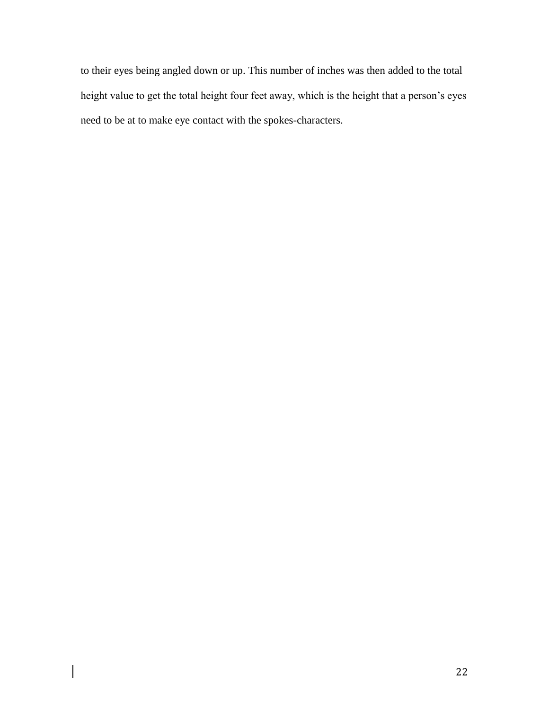to their eyes being angled down or up. This number of inches was then added to the total height value to get the total height four feet away, which is the height that a person's eyes need to be at to make eye contact with the spokes-characters.

 $\overline{\phantom{a}}$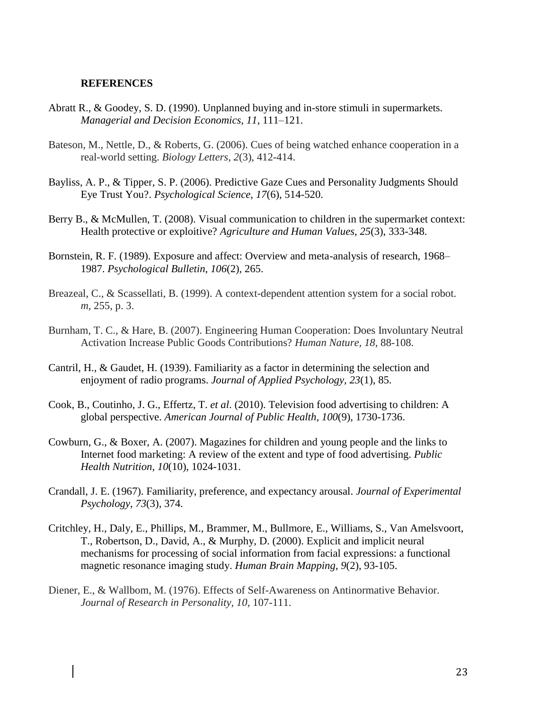#### **REFERENCES**

- Abratt R., & Goodey, S. D. (1990). Unplanned buying and in-store stimuli in supermarkets. *Managerial and Decision Economics, 11,* 111–121.
- Bateson, M., Nettle, D., & Roberts, G. (2006). Cues of being watched enhance cooperation in a real-world setting. *Biology Letters*, *2*(3), 412-414.
- Bayliss, A. P., & Tipper, S. P. (2006). Predictive Gaze Cues and Personality Judgments Should Eye Trust You?. *Psychological Science*, *17*(6), 514-520.
- Berry B., & McMullen, T. (2008). Visual communication to children in the supermarket context: Health protective or exploitive? *Agriculture and Human Values*, *25*(3), 333-348.
- Bornstein, R. F. (1989). Exposure and affect: Overview and meta-analysis of research, 1968– 1987. *Psychological Bulletin*, *106*(2), 265.
- Breazeal, C., & Scassellati, B. (1999). A context-dependent attention system for a social robot. *m*, 255, p. 3.
- Burnham, T. C., & Hare, B. (2007). Engineering Human Cooperation: Does Involuntary Neutral Activation Increase Public Goods Contributions? *Human Nature, 18*, 88-108.
- Cantril, H., & Gaudet, H. (1939). Familiarity as a factor in determining the selection and enjoyment of radio programs. *Journal of Applied Psychology*, *23*(1), 85.
- Cook, B., Coutinho, J. G., Effertz, T. *et al*. (2010). Television food advertising to children: A global perspective. *American Journal of Public Health, 100*(9), 1730-1736.
- Cowburn, G., & Boxer, A. (2007). Magazines for children and young people and the links to Internet food marketing: A review of the extent and type of food advertising. *Public Health Nutrition, 10*(10), 1024-1031.
- Crandall, J. E. (1967). Familiarity, preference, and expectancy arousal. *Journal of Experimental Psychology*, *73*(3), 374.
- Critchley, H., Daly, E., Phillips, M., Brammer, M., Bullmore, E., Williams, S., Van Amelsvoort, T., Robertson, D., David, A., & Murphy, D. (2000). Explicit and implicit neural mechanisms for processing of social information from facial expressions: a functional magnetic resonance imaging study. *Human Brain Mapping*, *9*(2), 93-105.
- Diener, E., & Wallbom, M. (1976). Effects of Self-Awareness on Antinormative Behavior. *Journal of Research in Personality, 10*, 107-111.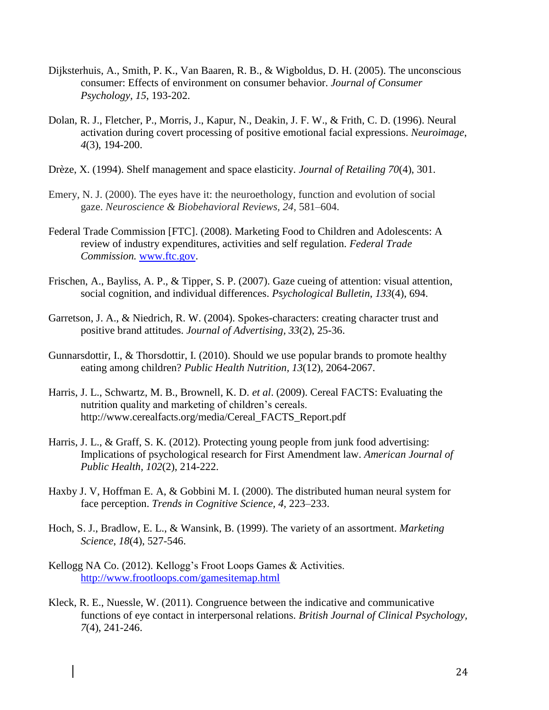- Dijksterhuis, A., Smith, P. K., Van Baaren, R. B., & Wigboldus, D. H. (2005). The unconscious consumer: Effects of environment on consumer behavior. *Journal of Consumer Psychology, 15*, 193-202.
- Dolan, R. J., Fletcher, P., Morris, J., Kapur, N., Deakin, J. F. W., & Frith, C. D. (1996). Neural activation during covert processing of positive emotional facial expressions. *Neuroimage*, *4*(3), 194-200.
- Drèze, X. (1994). Shelf management and space elasticity. *Journal of Retailing 70*(4), 301.
- Emery, N. J. (2000). The eyes have it: the neuroethology, function and evolution of social gaze. *Neuroscience & Biobehavioral Reviews, 24,* 581–604.
- Federal Trade Commission [FTC]. (2008). Marketing Food to Children and Adolescents: A review of industry expenditures, activities and self regulation. *Federal Trade Commission.* [www.ftc.gov.](http://www.ftc.gov/)
- Frischen, A., Bayliss, A. P., & Tipper, S. P. (2007). Gaze cueing of attention: visual attention, social cognition, and individual differences. *Psychological Bulletin*, *133*(4), 694.
- Garretson, J. A., & Niedrich, R. W. (2004). Spokes-characters: creating character trust and positive brand attitudes. *Journal of Advertising, 33*(2), 25-36.
- Gunnarsdottir, I., & Thorsdottir, I. (2010). Should we use popular brands to promote healthy eating among children? *Public Health Nutrition, 13*(12), 2064-2067.
- Harris, J. L., Schwartz, M. B., Brownell, K. D. *et al*. (2009). Cereal FACTS: Evaluating the nutrition quality and marketing of children's cereals. http://www.cerealfacts.org/media/Cereal\_FACTS\_Report.pdf
- Harris, J. L., & Graff, S. K. (2012). Protecting young people from junk food advertising: Implications of psychological research for First Amendment law. *American Journal of Public Health, 102*(2), 214-222.
- Haxby J. V, Hoffman E. A, & Gobbini M. I. (2000). The distributed human neural system for face perception. *Trends in Cognitive Science, 4,* 223–233.
- Hoch, S. J., Bradlow, E. L., & Wansink, B. (1999). The variety of an assortment. *Marketing Science*, *18*(4), 527-546.
- Kellogg NA Co. (2012). Kellogg's Froot Loops Games & Activities. <http://www.frootloops.com/gamesitemap.html>
- Kleck, R. E., Nuessle, W. (2011). Congruence between the indicative and communicative functions of eye contact in interpersonal relations. *British Journal of Clinical Psychology, 7*(4), 241-246.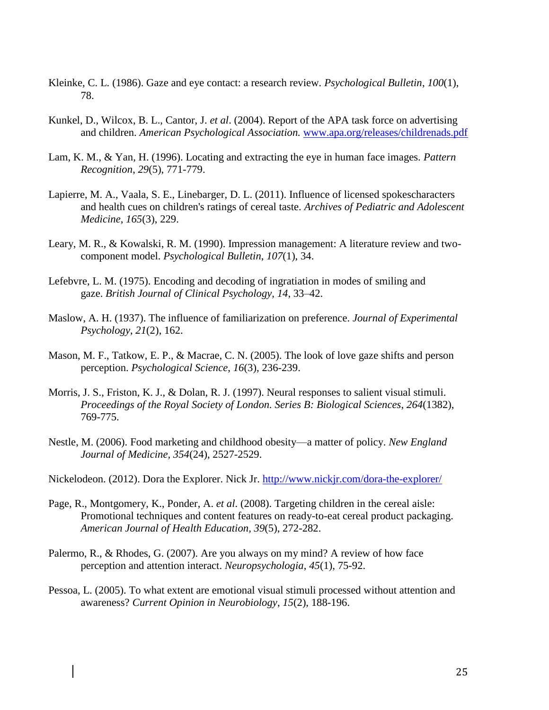- Kleinke, C. L. (1986). Gaze and eye contact: a research review. *Psychological Bulletin*, *100*(1), 78.
- Kunkel, D., Wilcox, B. L., Cantor, J. *et al*. (2004). Report of the APA task force on advertising and children. *American Psychological Association.* [www.apa.org/releases/childrenads.pdf](http://www.apa.org/releases/childrenads.pdf)
- Lam, K. M., & Yan, H. (1996). Locating and extracting the eye in human face images. *Pattern Recognition*, *29*(5), 771-779.
- Lapierre, M. A., Vaala, S. E., Linebarger, D. L. (2011). Influence of licensed spokescharacters and health cues on children's ratings of cereal taste. *Archives of Pediatric and Adolescent Medicine, 165*(3), 229.
- Leary, M. R., & Kowalski, R. M. (1990). Impression management: A literature review and twocomponent model. *Psychological Bulletin*, *107*(1), 34.
- Lefebvre, L. M. (1975). Encoding and decoding of ingratiation in modes of smiling and gaze. *British Journal of Clinical Psychology, 14*, 33–42.
- Maslow, A. H. (1937). The influence of familiarization on preference. *Journal of Experimental Psychology*, *21*(2), 162.
- Mason, M. F., Tatkow, E. P., & Macrae, C. N. (2005). The look of love gaze shifts and person perception. *Psychological Science*, *16*(3), 236-239.
- Morris, J. S., Friston, K. J., & Dolan, R. J. (1997). Neural responses to salient visual stimuli. *Proceedings of the Royal Society of London. Series B: Biological Sciences*, *264*(1382), 769-775.
- Nestle, M. (2006). Food marketing and childhood obesity—a matter of policy. *New England Journal of Medicine, 354*(24), 2527-2529.
- Nickelodeon. (2012). Dora the Explorer. Nick Jr.<http://www.nickjr.com/dora-the-explorer/>
- Page, R., Montgomery, K., Ponder, A. *et al*. (2008). Targeting children in the cereal aisle: Promotional techniques and content features on ready-to-eat cereal product packaging. *American Journal of Health Education, 39*(5), 272-282.
- Palermo, R., & Rhodes, G. (2007). Are you always on my mind? A review of how face perception and attention interact. *Neuropsychologia*, *45*(1), 75-92.
- Pessoa, L. (2005). To what extent are emotional visual stimuli processed without attention and awareness? *Current Opinion in Neurobiology*, *15*(2), 188-196.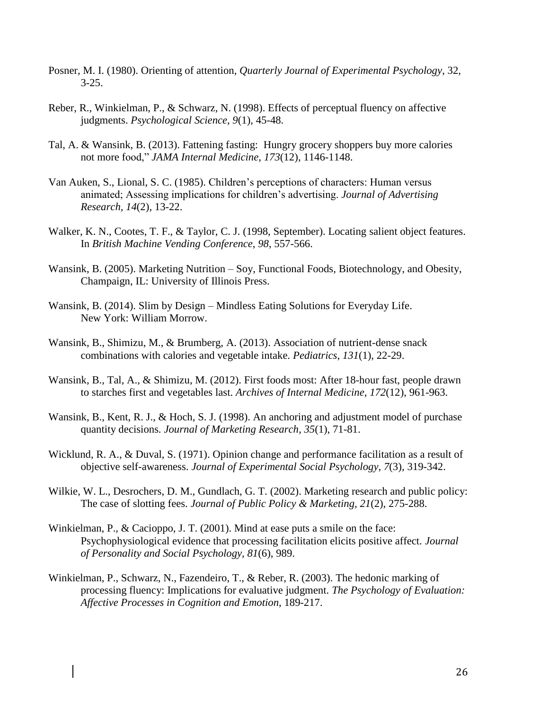- Posner, M. I. (1980). Orienting of attention, *Quarterly Journal of Experimental Psychology*, 32,  $3 - 25$ .
- Reber, R., Winkielman, P., & Schwarz, N. (1998). Effects of perceptual fluency on affective judgments. *Psychological Science*, *9*(1), 45-48.
- Tal, A. & Wansink, B. (2013). Fattening fasting: Hungry grocery shoppers buy more calories not more food," *JAMA Internal Medicine*, *173*(12), 1146-1148.
- Van Auken, S., Lional, S. C. (1985). Children's perceptions of characters: Human versus animated; Assessing implications for children's advertising. *Journal of Advertising Research, 14*(2), 13-22.
- Walker, K. N., Cootes, T. F., & Taylor, C. J. (1998, September). Locating salient object features. In *British Machine Vending Conference*, *98*, 557-566.
- Wansink, B. (2005). Marketing Nutrition Soy, Functional Foods, Biotechnology, and Obesity, Champaign, IL: University of Illinois Press.
- Wansink, B. (2014). Slim by Design Mindless Eating Solutions for Everyday Life. New York: William Morrow.
- Wansink, B., Shimizu, M., & Brumberg, A. (2013). Association of nutrient-dense snack combinations with calories and vegetable intake. *Pediatrics*, *131*(1), 22-29.
- Wansink, B., Tal, A., & Shimizu, M. (2012). First foods most: After 18-hour fast, people drawn to starches first and vegetables last. *Archives of Internal Medicine*, *172*(12), 961-963.
- Wansink, B., Kent, R. J., & Hoch, S. J. (1998). An anchoring and adjustment model of purchase quantity decisions*. Journal of Marketing Research*, *35*(1), 71-81.
- Wicklund, R. A., & Duval, S. (1971). Opinion change and performance facilitation as a result of objective self-awareness. *Journal of Experimental Social Psychology*, *7*(3), 319-342.
- Wilkie, W. L., Desrochers, D. M., Gundlach, G. T. (2002). Marketing research and public policy: The case of slotting fees. *Journal of Public Policy & Marketing, 21*(2), 275-288.
- Winkielman, P., & Cacioppo, J. T. (2001). Mind at ease puts a smile on the face: Psychophysiological evidence that processing facilitation elicits positive affect. *Journal of Personality and Social Psychology*, *81*(6), 989.
- Winkielman, P., Schwarz, N., Fazendeiro, T., & Reber, R. (2003). The hedonic marking of processing fluency: Implications for evaluative judgment. *The Psychology of Evaluation: Affective Processes in Cognition and Emotion*, 189-217.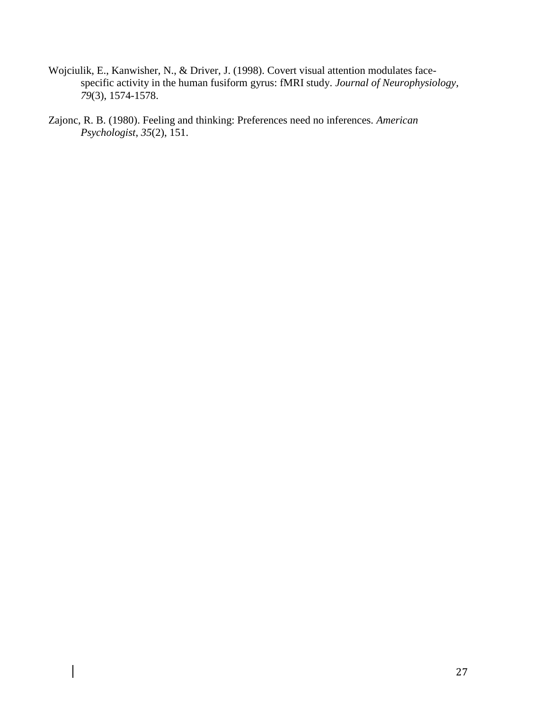- Wojciulik, E., Kanwisher, N., & Driver, J. (1998). Covert visual attention modulates facespecific activity in the human fusiform gyrus: fMRI study. *Journal of Neurophysiology*, *79*(3), 1574-1578.
- Zajonc, R. B. (1980). Feeling and thinking: Preferences need no inferences. *American Psychologist*, *35*(2), 151.

 $\overline{\phantom{a}}$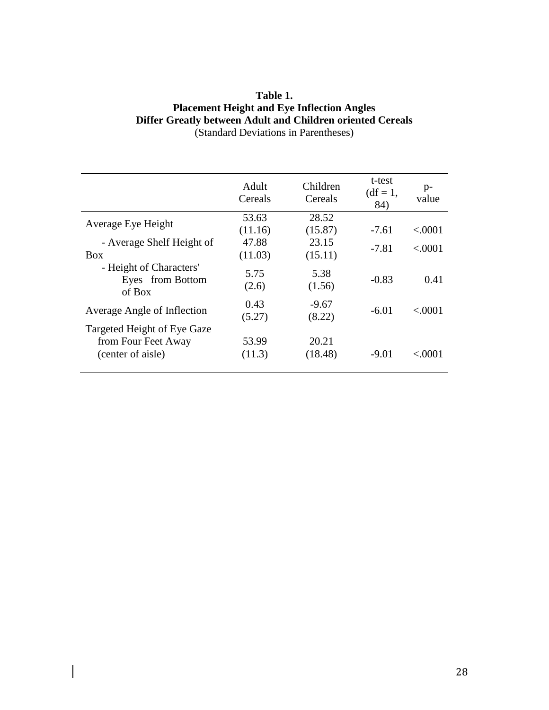## **Table 1. Placement Height and Eye Inflection Angles Differ Greatly between Adult and Children oriented Cereals** (Standard Deviations in Parentheses)

|                                                                         | Adult<br>Cereals | Children<br>Cereals | t-test<br>$(df = 1,$<br>84) | $p-$<br>value |
|-------------------------------------------------------------------------|------------------|---------------------|-----------------------------|---------------|
| Average Eye Height                                                      | 53.63            | 28.52               |                             |               |
|                                                                         | (11.16)          | (15.87)             | $-7.61$                     | < .0001       |
| - Average Shelf Height of<br><b>Box</b>                                 | 47.88<br>(11.03) | 23.15<br>(15.11)    | $-7.81$                     | < 0001        |
| - Height of Characters'<br>Eyes from Bottom<br>of Box                   | 5.75<br>(2.6)    | 5.38<br>(1.56)      | $-0.83$                     | 0.41          |
| Average Angle of Inflection                                             | 0.43<br>(5.27)   | $-9.67$<br>(8.22)   | $-6.01$                     | < 0001        |
| Targeted Height of Eye Gaze<br>from Four Feet Away<br>(center of aisle) | 53.99<br>(11.3)  | 20.21<br>(18.48)    | $-9.01$                     | < .0001       |

 $\begin{array}{c} \hline \end{array}$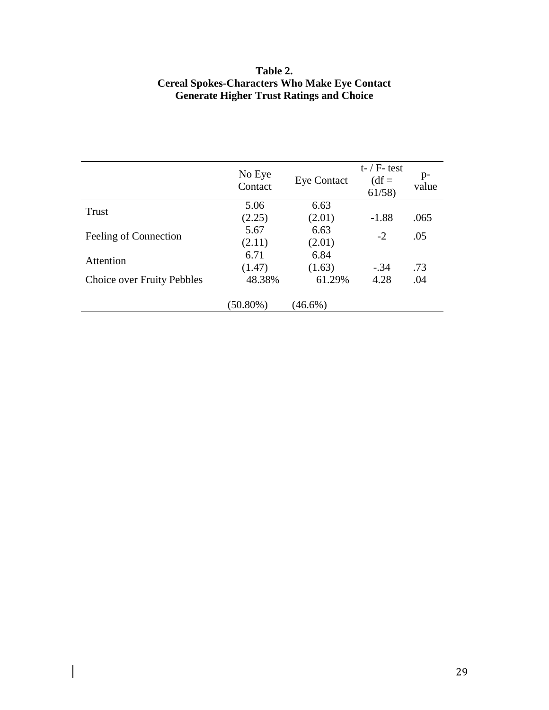# **Table 2. Cereal Spokes-Characters Who Make Eye Contact Generate Higher Trust Ratings and Choice**

|                                   | No Eye<br>Contact | <b>Eye Contact</b> | $t$ - / $F$ - test<br>$(df = )$<br>61/58 | $p-$<br>value |
|-----------------------------------|-------------------|--------------------|------------------------------------------|---------------|
| Trust                             | 5.06              | 6.63               |                                          |               |
|                                   | (2.25)            | (2.01)             | $-1.88$                                  | .065          |
| Feeling of Connection             | 5.67              | 6.63               | $-2$                                     | .05           |
|                                   | (2.11)            | (2.01)             |                                          |               |
| Attention                         | 6.71              | 6.84               |                                          |               |
|                                   | (1.47)            | (1.63)             | $-.34$                                   | .73           |
| <b>Choice over Fruity Pebbles</b> | 48.38%            | 61.29%             | 4.28                                     | .04           |
|                                   | $(50.80\%)$       | $(46.6\%)$         |                                          |               |

 $\overline{\phantom{a}}$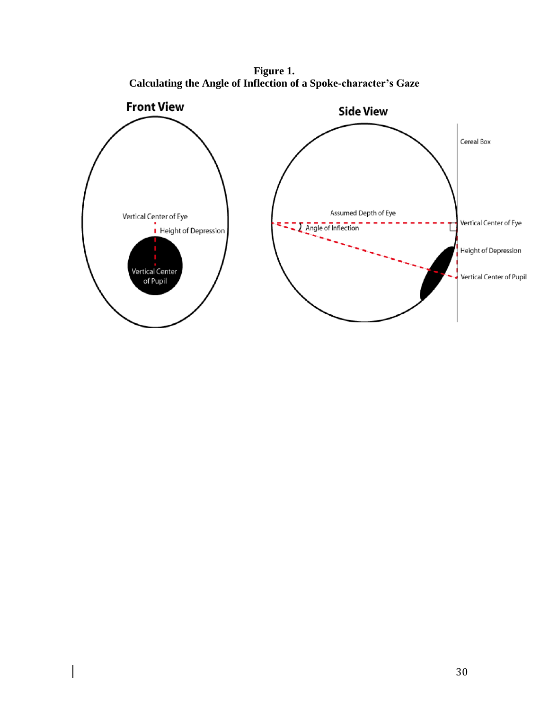**Figure 1. Calculating the Angle of Inflection of a Spoke-character's Gaze**

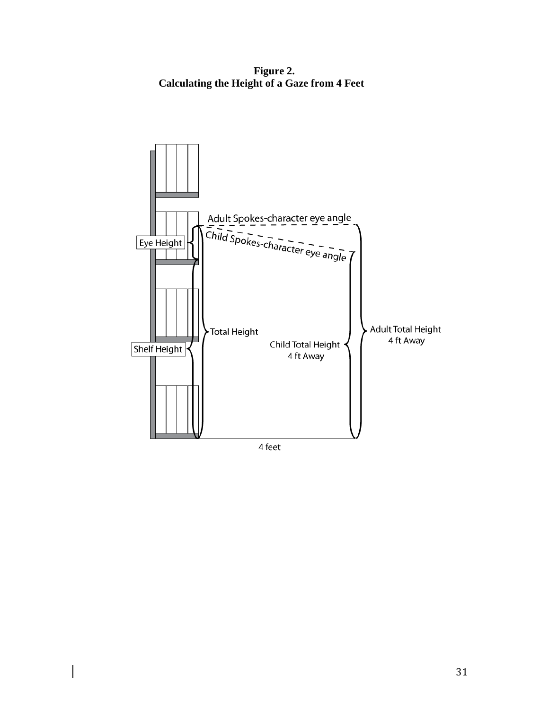**Figure 2. Calculating the Height of a Gaze from 4 Feet**



4 feet